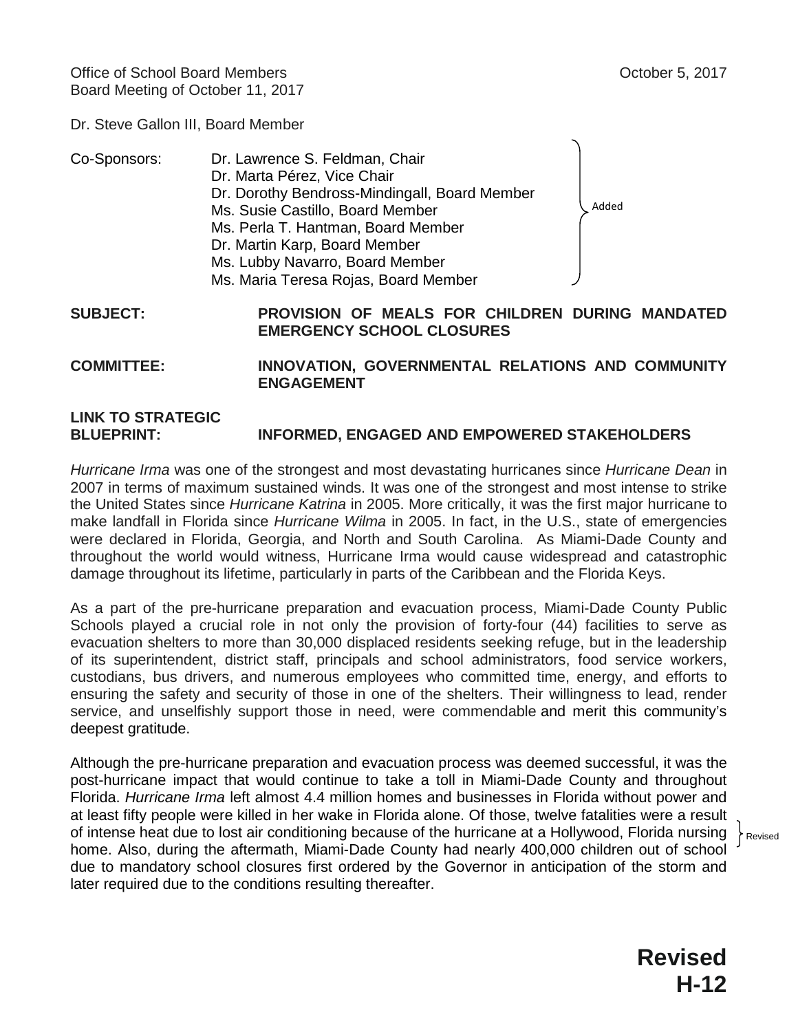Dr. Steve Gallon III, Board Member

| Co-Sponsors: | Dr. Lawrence S. Feldman, Chair                |       |
|--------------|-----------------------------------------------|-------|
|              | Dr. Marta Pérez, Vice Chair                   |       |
|              | Dr. Dorothy Bendross-Mindingall, Board Member |       |
|              | Ms. Susie Castillo, Board Member              | Added |
|              | Ms. Perla T. Hantman, Board Member            |       |
|              | Dr. Martin Karp, Board Member                 |       |
|              | Ms. Lubby Navarro, Board Member               |       |
|              | Ms. Maria Teresa Rojas, Board Member          |       |

**SUBJECT: PROVISION OF MEALS FOR CHILDREN DURING MANDATED EMERGENCY SCHOOL CLOSURES**

**COMMITTEE: INNOVATION, GOVERNMENTAL RELATIONS AND COMMUNITY ENGAGEMENT**

## **LINK TO STRATEGIC BLUEPRINT: INFORMED, ENGAGED AND EMPOWERED STAKEHOLDERS**

*Hurricane Irma* was one of the strongest and most devastating hurricanes since *Hurricane Dean* in 2007 in terms of maximum sustained winds. It was one of the strongest and most intense to strike the United States since *Hurricane Katrina* in 2005. More critically, it was the first major hurricane to make landfall in Florida since *Hurricane Wilma* in 2005. In fact, in the U.S., state of emergencies were declared in Florida, Georgia, and North and South Carolina. As Miami-Dade County and throughout the world would witness, Hurricane Irma would cause widespread and catastrophic damage throughout its lifetime, particularly in parts of the Caribbean and the Florida Keys.

As a part of the pre-hurricane preparation and evacuation process, Miami-Dade County Public Schools played a crucial role in not only the provision of forty-four (44) facilities to serve as evacuation shelters to more than 30,000 displaced residents seeking refuge, but in the leadership of its superintendent, district staff, principals and school administrators, food service workers, custodians, bus drivers, and numerous employees who committed time, energy, and efforts to ensuring the safety and security of those in one of the shelters. Their willingness to lead, render service, and unselfishly support those in need, were commendable and merit this community's deepest gratitude.

Although the pre-hurricane preparation and evacuation process was deemed successful, it was the post-hurricane impact that would continue to take a toll in Miami-Dade County and throughout Florida. *Hurricane Irma* left almost 4.4 million homes and businesses in Florida without power and at least fifty people were killed in her wake in Florida alone. Of those, twelve fatalities were a result of intense heat due to lost air conditioning because of the hurricane at a Hollywood, Florida nursing home. Also, during the aftermath, Miami-Dade County had nearly 400,000 children out of school due to mandatory school closures first ordered by the Governor in anticipation of the storm and later required due to the conditions resulting thereafter.

Revised

**Revised H-12**